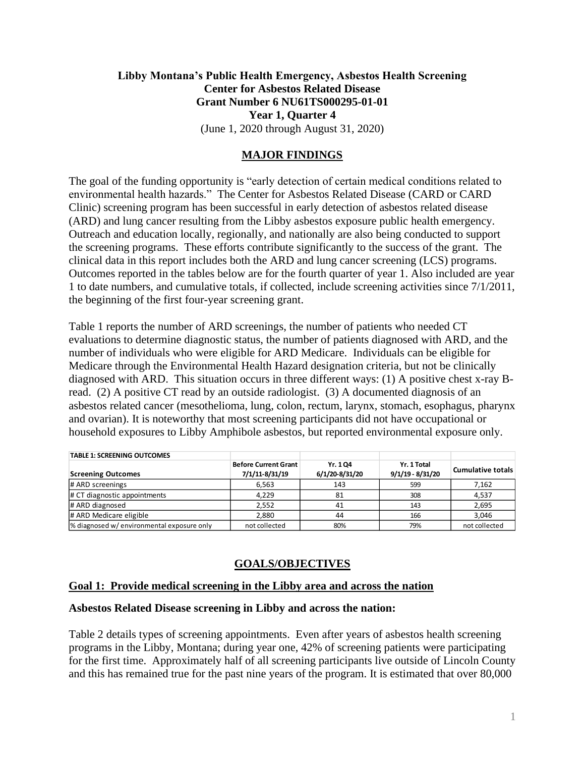# **Libby Montana's Public Health Emergency, Asbestos Health Screening Center for Asbestos Related Disease Grant Number 6 NU61TS000295-01-01 Year 1, Quarter 4** (June 1, 2020 through August 31, 2020)

## **MAJOR FINDINGS**

The goal of the funding opportunity is "early detection of certain medical conditions related to environmental health hazards." The Center for Asbestos Related Disease (CARD or CARD Clinic) screening program has been successful in early detection of asbestos related disease (ARD) and lung cancer resulting from the Libby asbestos exposure public health emergency. Outreach and education locally, regionally, and nationally are also being conducted to support the screening programs. These efforts contribute significantly to the success of the grant. The clinical data in this report includes both the ARD and lung cancer screening (LCS) programs. Outcomes reported in the tables below are for the fourth quarter of year 1. Also included are year 1 to date numbers, and cumulative totals, if collected, include screening activities since 7/1/2011, the beginning of the first four-year screening grant.

Table 1 reports the number of ARD screenings, the number of patients who needed CT evaluations to determine diagnostic status, the number of patients diagnosed with ARD, and the number of individuals who were eligible for ARD Medicare. Individuals can be eligible for Medicare through the Environmental Health Hazard designation criteria, but not be clinically diagnosed with ARD. This situation occurs in three different ways: (1) A positive chest x-ray Bread. (2) A positive CT read by an outside radiologist. (3) A documented diagnosis of an asbestos related cancer (mesothelioma, lung, colon, rectum, larynx, stomach, esophagus, pharynx and ovarian). It is noteworthy that most screening participants did not have occupational or household exposures to Libby Amphibole asbestos, but reported environmental exposure only.

| <b>TABLE 1: SCREENING OUTCOMES</b>         |                                               |                           |                                   |                          |
|--------------------------------------------|-----------------------------------------------|---------------------------|-----------------------------------|--------------------------|
| <b>Screening Outcomes</b>                  | <b>Before Current Grant</b><br>7/1/11-8/31/19 | Yr. 104<br>6/1/20-8/31/20 | Yr. 1 Total<br>$9/1/19 - 8/31/20$ | <b>Cumulative totals</b> |
| # ARD screenings                           | 6.563                                         | 143                       | 599                               | 7,162                    |
| $\#$ CT diagnostic appointments            | 4.229                                         | 81                        | 308                               | 4,537                    |
| # ARD diagnosed                            | 2,552                                         | 41                        | 143                               | 2,695                    |
| # ARD Medicare eligible                    | 2.880                                         | 44                        | 166                               | 3,046                    |
| % diagnosed w/ environmental exposure only | not collected                                 | 80%                       | 79%                               | not collected            |

# **GOALS/OBJECTIVES**

#### **Goal 1: Provide medical screening in the Libby area and across the nation**

#### **Asbestos Related Disease screening in Libby and across the nation:**

Table 2 details types of screening appointments. Even after years of asbestos health screening programs in the Libby, Montana; during year one, 42% of screening patients were participating for the first time. Approximately half of all screening participants live outside of Lincoln County and this has remained true for the past nine years of the program. It is estimated that over 80,000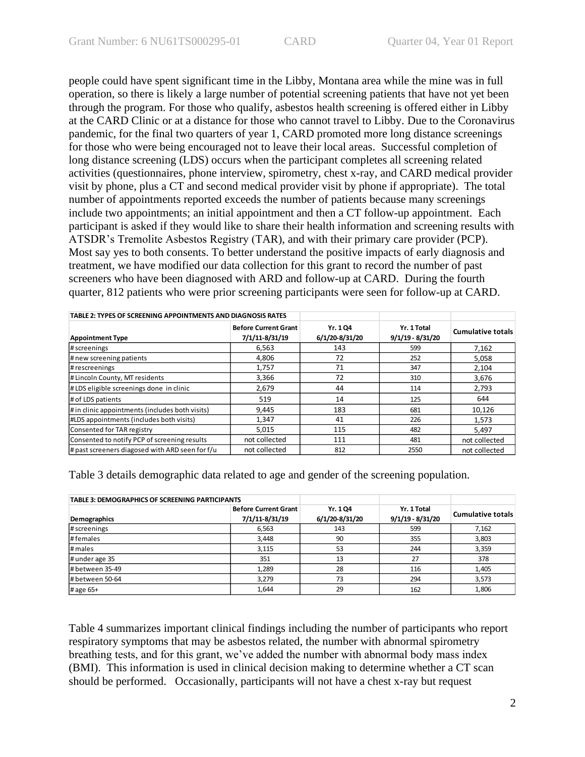people could have spent significant time in the Libby, Montana area while the mine was in full operation, so there is likely a large number of potential screening patients that have not yet been through the program. For those who qualify, asbestos health screening is offered either in Libby at the CARD Clinic or at a distance for those who cannot travel to Libby. Due to the Coronavirus pandemic, for the final two quarters of year 1, CARD promoted more long distance screenings for those who were being encouraged not to leave their local areas. Successful completion of long distance screening (LDS) occurs when the participant completes all screening related activities (questionnaires, phone interview, spirometry, chest x-ray, and CARD medical provider visit by phone, plus a CT and second medical provider visit by phone if appropriate). The total number of appointments reported exceeds the number of patients because many screenings include two appointments; an initial appointment and then a CT follow-up appointment. Each participant is asked if they would like to share their health information and screening results with ATSDR's Tremolite Asbestos Registry (TAR), and with their primary care provider (PCP). Most say yes to both consents. To better understand the positive impacts of early diagnosis and treatment, we have modified our data collection for this grant to record the number of past screeners who have been diagnosed with ARD and follow-up at CARD. During the fourth quarter, 812 patients who were prior screening participants were seen for follow-up at CARD.

| TABLE 2: TYPES OF SCREENING APPOINTMENTS AND DIAGNOSIS RATES |                                               |                           |                                   |                          |
|--------------------------------------------------------------|-----------------------------------------------|---------------------------|-----------------------------------|--------------------------|
| <b>Appointment Type</b>                                      | <b>Before Current Grant</b><br>7/1/11-8/31/19 | Yr. 104<br>6/1/20-8/31/20 | Yr. 1 Total<br>$9/1/19 - 8/31/20$ | <b>Cumulative totals</b> |
| # screenings                                                 | 6.563                                         | 143                       | 599                               | 7,162                    |
| # new screening patients                                     | 4,806                                         | 72                        | 252                               | 5,058                    |
| # rescreenings                                               | 1,757                                         | 71                        | 347                               | 2,104                    |
| # Lincoln County, MT residents                               | 3,366                                         | 72                        | 310                               | 3,676                    |
| #LDS eligible screenings done in clinic                      | 2,679                                         | 44                        | 114                               | 2,793                    |
| # of LDS patients                                            | 519                                           | 14                        | 125                               | 644                      |
| # in clinic appointments (includes both visits)              | 9,445                                         | 183                       | 681                               | 10,126                   |
| #LDS appointments (includes both visits)                     | 1,347                                         | 41                        | 226                               | 1.573                    |
| Consented for TAR registry                                   | 5,015                                         | 115                       | 482                               | 5.497                    |
| Consented to notify PCP of screening results                 | not collected                                 | 111                       | 481                               | not collected            |
| $\#$ past screeners diagosed with ARD seen for f/u           | not collected                                 | 812                       | 2550                              | not collected            |

Table 3 details demographic data related to age and gender of the screening population.

| <b>TABLE 3: DEMOGRAPHICS OF SCREENING PARTICIPANTS</b> |                             |                |                    |                          |
|--------------------------------------------------------|-----------------------------|----------------|--------------------|--------------------------|
|                                                        | <b>Before Current Grant</b> | Yr. 104        | Yr. 1 Total        | <b>Cumulative totals</b> |
| <b>Demographics</b>                                    | 7/1/11-8/31/19              | 6/1/20-8/31/20 | $9/1/19 - 8/31/20$ |                          |
| # screenings                                           | 6,563                       | 143            | 599                | 7,162                    |
| #females                                               | 3,448                       | 90             | 355                | 3,803                    |
| # males                                                | 3,115                       | 53             | 244                | 3,359                    |
| # under age 35                                         | 351                         | 13             | 27                 | 378                      |
| # between 35-49                                        | 1,289                       | 28             | 116                | 1,405                    |
| # between 50-64                                        | 3,279                       | 73             | 294                | 3,573                    |
| # age $65+$                                            | 1,644                       | 29             | 162                | 1,806                    |

Table 4 summarizes important clinical findings including the number of participants who report respiratory symptoms that may be asbestos related, the number with abnormal spirometry breathing tests, and for this grant, we've added the number with abnormal body mass index (BMI). This information is used in clinical decision making to determine whether a CT scan should be performed. Occasionally, participants will not have a chest x-ray but request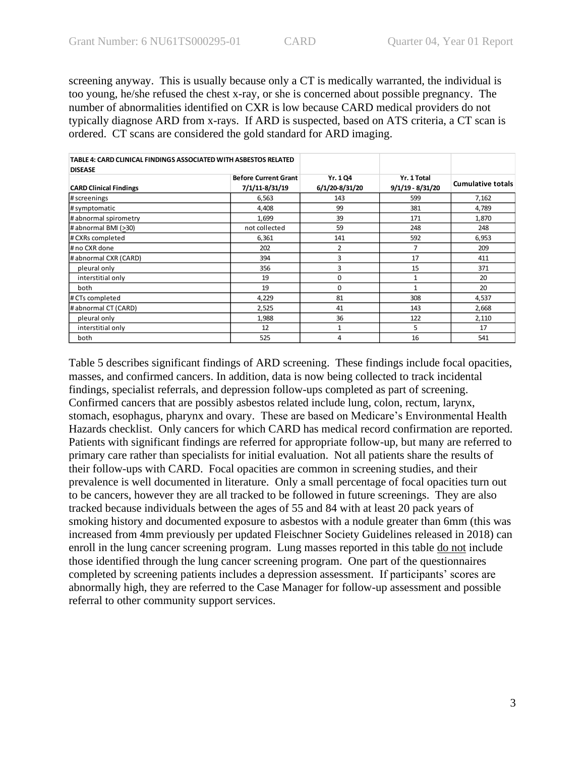screening anyway. This is usually because only a CT is medically warranted, the individual is too young, he/she refused the chest x-ray, or she is concerned about possible pregnancy. The number of abnormalities identified on CXR is low because CARD medical providers do not typically diagnose ARD from x-rays. If ARD is suspected, based on ATS criteria, a CT scan is ordered. CT scans are considered the gold standard for ARD imaging.

| TABLE 4: CARD CLINICAL FINDINGS ASSOCIATED WITH ASBESTOS RELATED |                             |                |                  |                          |
|------------------------------------------------------------------|-----------------------------|----------------|------------------|--------------------------|
| <b>DISEASE</b>                                                   |                             |                |                  |                          |
|                                                                  | <b>Before Current Grant</b> | Yr. 1 Q4       | Yr. 1 Total      |                          |
| <b>CARD Clinical Findings</b>                                    | 7/1/11-8/31/19              | 6/1/20-8/31/20 | 9/1/19 - 8/31/20 | <b>Cumulative totals</b> |
| # screenings                                                     | 6,563                       | 143            | 599              | 7,162                    |
| # symptomatic                                                    | 4,408                       | 99             | 381              | 4,789                    |
| # abnormal spirometry                                            | 1,699                       | 39             | 171              | 1,870                    |
| # abnormal BMI (>30)                                             | not collected               | 59             | 248              | 248                      |
| # CXRs completed                                                 | 6,361                       | 141            | 592              | 6,953                    |
| # no CXR done                                                    | 202                         | 2              | 7                | 209                      |
| # abnormal CXR (CARD)                                            | 394                         | 3              | 17               | 411                      |
| pleural only                                                     | 356                         | 3              | 15               | 371                      |
| interstitial only                                                | 19                          | 0              | 1                | 20                       |
| both                                                             | 19                          | $\Omega$       | $\mathbf{1}$     | 20                       |
| # CTs completed                                                  | 4,229                       | 81             | 308              | 4,537                    |
| # abnormal CT (CARD)                                             | 2,525                       | 41             | 143              | 2,668                    |
| pleural only                                                     | 1,988                       | 36             | 122              | 2,110                    |
| interstitial only                                                | 12                          | 1              | 5                | 17                       |
| both                                                             | 525                         | 4              | 16               | 541                      |

Table 5 describes significant findings of ARD screening. These findings include focal opacities, masses, and confirmed cancers. In addition, data is now being collected to track incidental findings, specialist referrals, and depression follow-ups completed as part of screening. Confirmed cancers that are possibly asbestos related include lung, colon, rectum, larynx, stomach, esophagus, pharynx and ovary. These are based on Medicare's Environmental Health Hazards checklist. Only cancers for which CARD has medical record confirmation are reported. Patients with significant findings are referred for appropriate follow-up, but many are referred to primary care rather than specialists for initial evaluation. Not all patients share the results of their follow-ups with CARD. Focal opacities are common in screening studies, and their prevalence is well documented in literature. Only a small percentage of focal opacities turn out to be cancers, however they are all tracked to be followed in future screenings. They are also tracked because individuals between the ages of 55 and 84 with at least 20 pack years of smoking history and documented exposure to asbestos with a nodule greater than 6mm (this was increased from 4mm previously per updated Fleischner Society Guidelines released in 2018) can enroll in the lung cancer screening program. Lung masses reported in this table do not include those identified through the lung cancer screening program. One part of the questionnaires completed by screening patients includes a depression assessment. If participants' scores are abnormally high, they are referred to the Case Manager for follow-up assessment and possible referral to other community support services.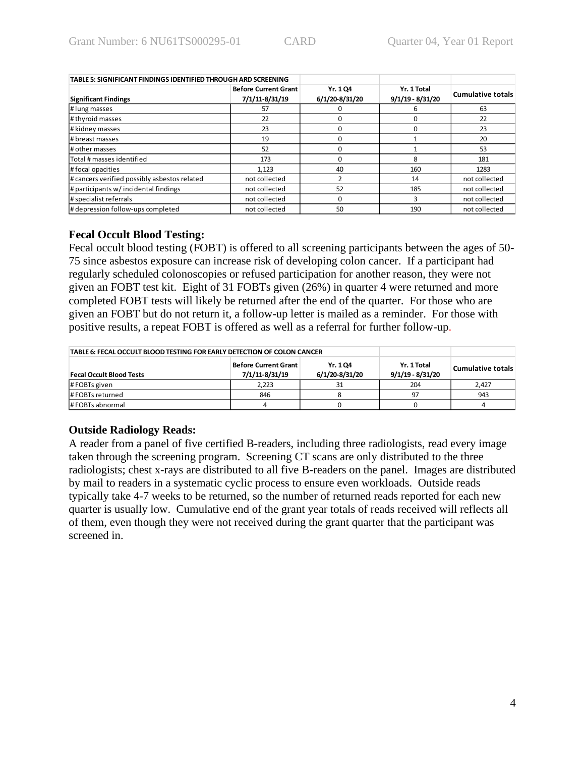| TABLE 5: SIGNIFICANT FINDINGS IDENTIFIED THROUGH ARD SCREENING |                                               |                           |                                   |                          |
|----------------------------------------------------------------|-----------------------------------------------|---------------------------|-----------------------------------|--------------------------|
| <b>Significant Findings</b>                                    | <b>Before Current Grant</b><br>7/1/11-8/31/19 | Yr. 104<br>6/1/20-8/31/20 | Yr. 1 Total<br>$9/1/19 - 8/31/20$ | <b>Cumulative totals</b> |
| # lung masses                                                  | 57                                            |                           | h                                 | 63                       |
| # thyroid masses                                               | 22                                            |                           |                                   | 22                       |
| # kidney masses                                                | 23                                            |                           |                                   | 23                       |
| # breast masses                                                | 19                                            |                           |                                   | 20                       |
| # other masses                                                 | 52                                            |                           |                                   | 53                       |
| Total # masses identified                                      | 173                                           |                           | 8                                 | 181                      |
| # focal opacities                                              | 1.123                                         | 40                        | 160                               | 1283                     |
| # cancers verified possibly asbestos related                   | not collected                                 |                           | 14                                | not collected            |
| # participants w/ incidental findings                          | not collected                                 | 52                        | 185                               | not collected            |
| # specialist referrals                                         | not collected                                 |                           | 3                                 | not collected            |
| # depression follow-ups completed                              | not collected                                 | 50                        | 190                               | not collected            |

### **Fecal Occult Blood Testing:**

Fecal occult blood testing (FOBT) is offered to all screening participants between the ages of 50- 75 since asbestos exposure can increase risk of developing colon cancer. If a participant had regularly scheduled colonoscopies or refused participation for another reason, they were not given an FOBT test kit. Eight of 31 FOBTs given (26%) in quarter 4 were returned and more completed FOBT tests will likely be returned after the end of the quarter. For those who are given an FOBT but do not return it, a follow-up letter is mailed as a reminder. For those with positive results, a repeat FOBT is offered as well as a referral for further follow-up.

| TABLE 6: FECAL OCCULT BLOOD TESTING FOR EARLY DETECTION OF COLON CANCER |                                                      |                                   |                   |       |
|-------------------------------------------------------------------------|------------------------------------------------------|-----------------------------------|-------------------|-------|
| <b>Fecal Occult Blood Tests</b>                                         | Before Current Grant  <br>Yr. 1 Q4<br>6/1/20-8/31/20 | Yr. 1 Total<br>$9/1/19 - 8/31/20$ | Cumulative totals |       |
| $\#$ FOBTs given                                                        | 2,223                                                |                                   | 204               | 2,427 |
| #FOBTs returned                                                         | 846                                                  |                                   | 97                | 943   |
| # FOBTs abnormal                                                        |                                                      |                                   |                   |       |

# **Outside Radiology Reads:**

A reader from a panel of five certified B-readers, including three radiologists, read every image taken through the screening program. Screening CT scans are only distributed to the three radiologists; chest x-rays are distributed to all five B-readers on the panel. Images are distributed by mail to readers in a systematic cyclic process to ensure even workloads. Outside reads typically take 4-7 weeks to be returned, so the number of returned reads reported for each new quarter is usually low. Cumulative end of the grant year totals of reads received will reflects all of them, even though they were not received during the grant quarter that the participant was screened in.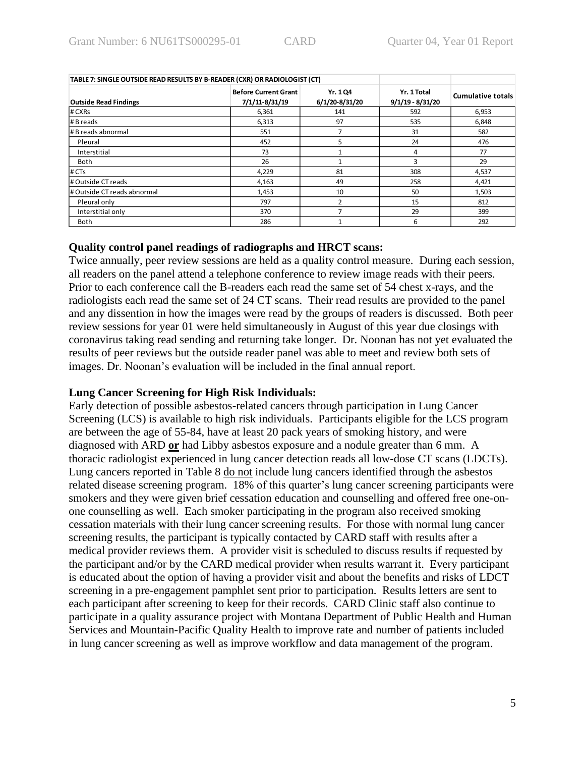| TABLE 7: SINGLE OUTSIDE READ RESULTS BY B-READER (CXR) OR RADIOLOGIST (CT) |                                               |                            |                                   |                          |
|----------------------------------------------------------------------------|-----------------------------------------------|----------------------------|-----------------------------------|--------------------------|
| <b>Outside Read Findings</b>                                               | <b>Before Current Grant</b><br>7/1/11-8/31/19 | Yr. 1 Q4<br>6/1/20-8/31/20 | Yr. 1 Total<br>$9/1/19 - 8/31/20$ | <b>Cumulative totals</b> |
| # CXRs                                                                     | 6,361                                         | 141                        | 592                               | 6,953                    |
| # B reads                                                                  | 6,313                                         | 97                         | 535                               | 6,848                    |
| # B reads abnormal                                                         | 551                                           |                            | 31                                | 582                      |
| Pleural                                                                    | 452                                           | 5                          | 24                                | 476                      |
| Interstitial                                                               | 73                                            |                            | 4                                 | 77                       |
| Both                                                                       | 26                                            |                            | 3                                 | 29                       |
| # CTs                                                                      | 4,229                                         | 81                         | 308                               | 4,537                    |
| # Outside CT reads                                                         | 4,163                                         | 49                         | 258                               | 4,421                    |
| # Outside CT reads abnormal                                                | 1,453                                         | 10                         | 50                                | 1,503                    |
| Pleural only                                                               | 797                                           | $\mathfrak{p}$             | 15                                | 812                      |
| Interstitial only                                                          | 370                                           |                            | 29                                | 399                      |
| Both                                                                       | 286                                           |                            | 6                                 | 292                      |

#### **Quality control panel readings of radiographs and HRCT scans:**

Twice annually, peer review sessions are held as a quality control measure. During each session, all readers on the panel attend a telephone conference to review image reads with their peers. Prior to each conference call the B-readers each read the same set of 54 chest x-rays, and the radiologists each read the same set of 24 CT scans. Their read results are provided to the panel and any dissention in how the images were read by the groups of readers is discussed. Both peer review sessions for year 01 were held simultaneously in August of this year due closings with coronavirus taking read sending and returning take longer. Dr. Noonan has not yet evaluated the results of peer reviews but the outside reader panel was able to meet and review both sets of images. Dr. Noonan's evaluation will be included in the final annual report.

#### **Lung Cancer Screening for High Risk Individuals:**

Early detection of possible asbestos-related cancers through participation in Lung Cancer Screening (LCS) is available to high risk individuals. Participants eligible for the LCS program are between the age of 55-84, have at least 20 pack years of smoking history, and were diagnosed with ARD **or** had Libby asbestos exposure and a nodule greater than 6 mm. A thoracic radiologist experienced in lung cancer detection reads all low-dose CT scans (LDCTs). Lung cancers reported in Table 8 do not include lung cancers identified through the asbestos related disease screening program. 18% of this quarter's lung cancer screening participants were smokers and they were given brief cessation education and counselling and offered free one-onone counselling as well. Each smoker participating in the program also received smoking cessation materials with their lung cancer screening results. For those with normal lung cancer screening results, the participant is typically contacted by CARD staff with results after a medical provider reviews them. A provider visit is scheduled to discuss results if requested by the participant and/or by the CARD medical provider when results warrant it. Every participant is educated about the option of having a provider visit and about the benefits and risks of LDCT screening in a pre-engagement pamphlet sent prior to participation. Results letters are sent to each participant after screening to keep for their records. CARD Clinic staff also continue to participate in a quality assurance project with Montana Department of Public Health and Human Services and Mountain-Pacific Quality Health to improve rate and number of patients included in lung cancer screening as well as improve workflow and data management of the program.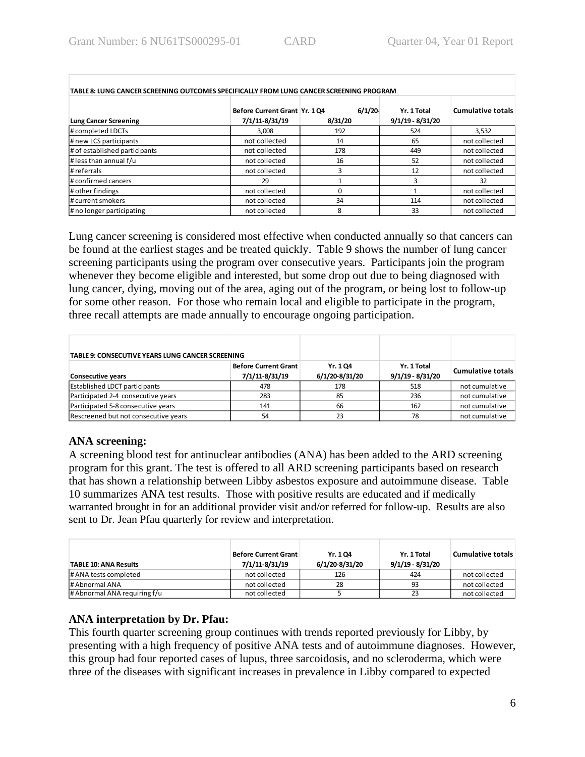| TABLE 8: LUNG CANCER SCREENING OUTCOMES SPECIFICALLY FROM LUNG CANCER SCREENING PROGRAM |                                                 |                   |                                   |                          |  |  |
|-----------------------------------------------------------------------------------------|-------------------------------------------------|-------------------|-----------------------------------|--------------------------|--|--|
| <b>Lung Cancer Screening</b>                                                            | Before Current Grant Yr. 1 Q4<br>7/1/11-8/31/19 | 6/1/20<br>8/31/20 | Yr. 1 Total<br>$9/1/19 - 8/31/20$ | <b>Cumulative totals</b> |  |  |
| # completed LDCTs                                                                       | 3.008                                           | 192               | 524                               | 3,532                    |  |  |
| # new LCS participants                                                                  | not collected                                   | 14                | 65                                | not collected            |  |  |
| # of established participants                                                           | not collected                                   | 178               |                                   | not collected            |  |  |
| $\#$ less than annual f/u                                                               | not collected                                   | 16                | 52                                | not collected            |  |  |
| # referrals                                                                             | not collected                                   |                   | 12                                | not collected            |  |  |
| # confirmed cancers                                                                     | 29                                              |                   | ર                                 | 32                       |  |  |
| # other findings                                                                        | not collected                                   |                   |                                   | not collected            |  |  |
| # current smokers                                                                       | not collected                                   | 34                | 114                               | not collected            |  |  |
| # no longer participating                                                               | not collected                                   | 8                 | 33                                | not collected            |  |  |

Lung cancer screening is considered most effective when conducted annually so that cancers can be found at the earliest stages and be treated quickly. Table 9 shows the number of lung cancer screening participants using the program over consecutive years. Participants join the program whenever they become eligible and interested, but some drop out due to being diagnosed with lung cancer, dying, moving out of the area, aging out of the program, or being lost to follow-up for some other reason. For those who remain local and eligible to participate in the program, three recall attempts are made annually to encourage ongoing participation.

| TABLE 9: CONSECUTIVE YEARS LUNG CANCER SCREENING                          |     |                           |                                   |                   |
|---------------------------------------------------------------------------|-----|---------------------------|-----------------------------------|-------------------|
| <b>Before Current Grant</b><br>7/1/11-8/31/19<br><b>Consecutive years</b> |     | Yr. 104<br>6/1/20-8/31/20 | Yr. 1 Total<br>$9/1/19 - 8/31/20$ | Cumulative totals |
| <b>Established LDCT participants</b>                                      | 478 | 178                       | 518                               | not cumulative    |
| Participated 2-4 consecutive years                                        | 283 | 85                        | 236                               | not cumulative    |
| Participated 5-8 consecutive years                                        | 141 | 66                        | 162                               | not cumulative    |
| Rescreened but not consecutive years                                      | 54  | 23                        | 78                                | not cumulative    |

#### **ANA screening:**

A screening blood test for antinuclear antibodies (ANA) has been added to the ARD screening program for this grant. The test is offered to all ARD screening participants based on research that has shown a relationship between Libby asbestos exposure and autoimmune disease. Table 10 summarizes ANA test results. Those with positive results are educated and if medically warranted brought in for an additional provider visit and/or referred for follow-up. Results are also sent to Dr. Jean Pfau quarterly for review and interpretation.

| <b>TABLE 10: ANA Results</b> | Before Current Grant  <br>7/1/11-8/31/19 | Yr. 104<br>6/1/20-8/31/20 | Yr. 1 Total<br>$9/1/19 - 8/31/20$ | Cumulative totals |
|------------------------------|------------------------------------------|---------------------------|-----------------------------------|-------------------|
| # ANA tests completed        | not collected                            | 126                       | 424                               | not collected     |
| # Abnormal ANA               | not collected                            | 28                        | 93                                | not collected     |
| # Abnormal ANA requiring f/u | not collected                            |                           | 23                                | not collected     |

# **ANA interpretation by Dr. Pfau:**

This fourth quarter screening group continues with trends reported previously for Libby, by presenting with a high frequency of positive ANA tests and of autoimmune diagnoses. However, this group had four reported cases of lupus, three sarcoidosis, and no scleroderma, which were three of the diseases with significant increases in prevalence in Libby compared to expected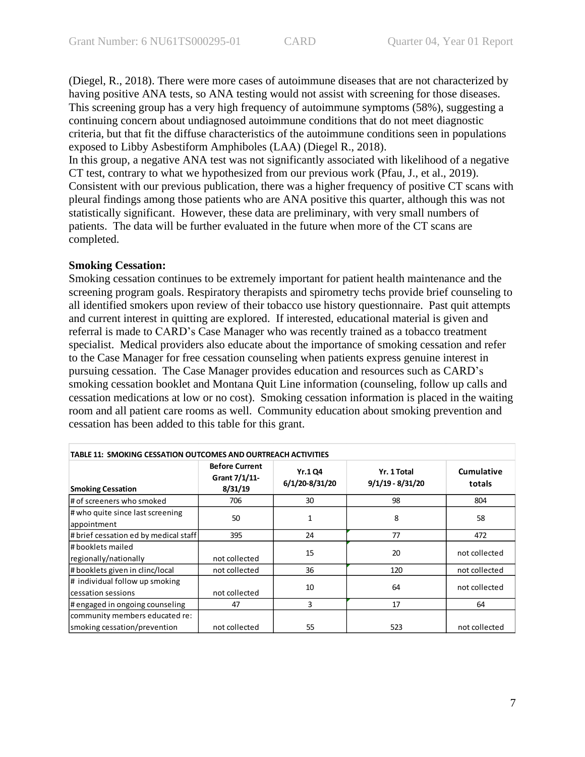(Diegel, R., 2018). There were more cases of autoimmune diseases that are not characterized by having positive ANA tests, so ANA testing would not assist with screening for those diseases. This screening group has a very high frequency of autoimmune symptoms (58%), suggesting a continuing concern about undiagnosed autoimmune conditions that do not meet diagnostic criteria, but that fit the diffuse characteristics of the autoimmune conditions seen in populations exposed to Libby Asbestiform Amphiboles (LAA) (Diegel R., 2018).

In this group, a negative ANA test was not significantly associated with likelihood of a negative CT test, contrary to what we hypothesized from our previous work (Pfau, J., et al., 2019). Consistent with our previous publication, there was a higher frequency of positive CT scans with pleural findings among those patients who are ANA positive this quarter, although this was not statistically significant. However, these data are preliminary, with very small numbers of patients. The data will be further evaluated in the future when more of the CT scans are completed.

# **Smoking Cessation:**

Smoking cessation continues to be extremely important for patient health maintenance and the screening program goals. Respiratory therapists and spirometry techs provide brief counseling to all identified smokers upon review of their tobacco use history questionnaire. Past quit attempts and current interest in quitting are explored. If interested, educational material is given and referral is made to CARD's Case Manager who was recently trained as a tobacco treatment specialist. Medical providers also educate about the importance of smoking cessation and refer to the Case Manager for free cessation counseling when patients express genuine interest in pursuing cessation. The Case Manager provides education and resources such as CARD's smoking cessation booklet and Montana Quit Line information (counseling, follow up calls and cessation medications at low or no cost). Smoking cessation information is placed in the waiting room and all patient care rooms as well. Community education about smoking prevention and cessation has been added to this table for this grant.

| <b>TABLE 11: SMOKING CESSATION OUTCOMES AND OURTREACH ACTIVITIES</b> |                                                   |                                  |                                   |                      |  |  |
|----------------------------------------------------------------------|---------------------------------------------------|----------------------------------|-----------------------------------|----------------------|--|--|
| <b>Smoking Cessation</b>                                             | <b>Before Current</b><br>Grant 7/1/11-<br>8/31/19 | <b>Yr.1 Q4</b><br>6/1/20-8/31/20 | Yr. 1 Total<br>$9/1/19 - 8/31/20$ | Cumulative<br>totals |  |  |
| # of screeners who smoked                                            | 706                                               | 30                               | 98                                | 804                  |  |  |
| # who quite since last screening<br>appointment                      | 50                                                | 1                                | 8                                 | 58                   |  |  |
| # brief cessation ed by medical staff                                | 395                                               | 24                               | 77                                | 472                  |  |  |
| # booklets mailed<br>regionally/nationally                           | not collected                                     | 15                               | 20                                | not collected        |  |  |
| # booklets given in clinc/local                                      | not collected                                     | 36                               | 120                               | not collected        |  |  |
| # individual follow up smoking<br>cessation sessions                 | not collected                                     | 10                               | 64                                | not collected        |  |  |
| # engaged in ongoing counseling                                      | 47                                                | 3                                | 17                                | 64                   |  |  |
| community members educated re:<br>smoking cessation/prevention       | not collected                                     | 55                               | 523                               | not collected        |  |  |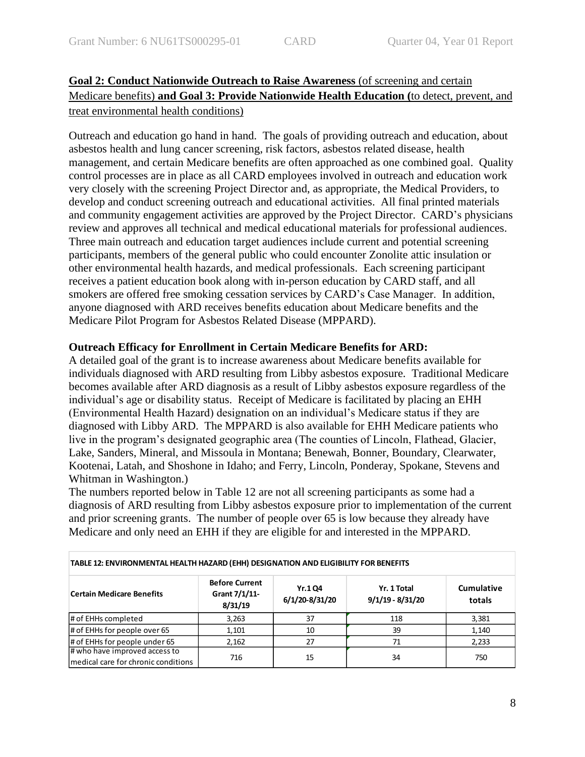# **Goal 2: Conduct Nationwide Outreach to Raise Awareness** (of screening and certain Medicare benefits) **and Goal 3: Provide Nationwide Health Education (**to detect, prevent, and treat environmental health conditions)

Outreach and education go hand in hand. The goals of providing outreach and education, about asbestos health and lung cancer screening, risk factors, asbestos related disease, health management, and certain Medicare benefits are often approached as one combined goal. Quality control processes are in place as all CARD employees involved in outreach and education work very closely with the screening Project Director and, as appropriate, the Medical Providers, to develop and conduct screening outreach and educational activities. All final printed materials and community engagement activities are approved by the Project Director. CARD's physicians review and approves all technical and medical educational materials for professional audiences. Three main outreach and education target audiences include current and potential screening participants, members of the general public who could encounter Zonolite attic insulation or other environmental health hazards, and medical professionals. Each screening participant receives a patient education book along with in-person education by CARD staff, and all smokers are offered free smoking cessation services by CARD's Case Manager. In addition, anyone diagnosed with ARD receives benefits education about Medicare benefits and the Medicare Pilot Program for Asbestos Related Disease (MPPARD).

# **Outreach Efficacy for Enrollment in Certain Medicare Benefits for ARD:**

A detailed goal of the grant is to increase awareness about Medicare benefits available for individuals diagnosed with ARD resulting from Libby asbestos exposure. Traditional Medicare becomes available after ARD diagnosis as a result of Libby asbestos exposure regardless of the individual's age or disability status. Receipt of Medicare is facilitated by placing an EHH (Environmental Health Hazard) designation on an individual's Medicare status if they are diagnosed with Libby ARD. The MPPARD is also available for EHH Medicare patients who live in the program's designated geographic area (The counties of Lincoln, Flathead, Glacier, Lake, Sanders, Mineral, and Missoula in Montana; Benewah, Bonner, Boundary, Clearwater, Kootenai, Latah, and Shoshone in Idaho; and Ferry, Lincoln, Ponderay, Spokane, Stevens and Whitman in Washington.)

The numbers reported below in Table 12 are not all screening participants as some had a diagnosis of ARD resulting from Libby asbestos exposure prior to implementation of the current and prior screening grants. The number of people over 65 is low because they already have Medicare and only need an EHH if they are eligible for and interested in the MPPARD.

| TABLE 12: ENVIRONMENTAL HEALTH HAZARD (EHH) DESIGNATION AND ELIGIBILITY FOR BENEFITS |                                                   |                                  |                                   |                             |  |  |
|--------------------------------------------------------------------------------------|---------------------------------------------------|----------------------------------|-----------------------------------|-----------------------------|--|--|
| <b>Certain Medicare Benefits</b>                                                     | <b>Before Current</b><br>Grant 7/1/11-<br>8/31/19 | <b>Yr.1 Q4</b><br>6/1/20-8/31/20 | Yr. 1 Total<br>$9/1/19 - 8/31/20$ | <b>Cumulative</b><br>totals |  |  |
| # of EHHs completed                                                                  | 3,263                                             | 37                               | 118                               | 3,381                       |  |  |
| # of EHHs for people over 65                                                         | 1,101                                             | 10                               | 39                                | 1,140                       |  |  |
| # of EHHs for people under 65                                                        | 2,162                                             | 27                               | 71                                | 2,233                       |  |  |
| # who have improved access to<br>medical care for chronic conditions                 | 716                                               | 15                               | 34                                | 750                         |  |  |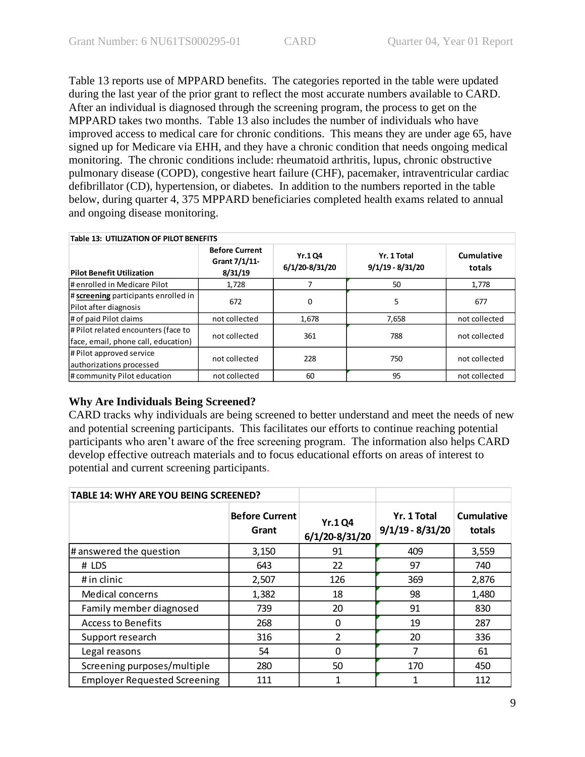Table 13 reports use of MPPARD benefits. The categories reported in the table were updated during the last year of the prior grant to reflect the most accurate numbers available to CARD. After an individual is diagnosed through the screening program, the process to get on the MPPARD takes two months. Table 13 also includes the number of individuals who have improved access to medical care for chronic conditions. This means they are under age 65, have signed up for Medicare via EHH, and they have a chronic condition that needs ongoing medical monitoring. The chronic conditions include: rheumatoid arthritis, lupus, chronic obstructive pulmonary disease (COPD), congestive heart failure (CHF), pacemaker, intraventricular cardiac defibrillator (CD), hypertension, or diabetes. In addition to the numbers reported in the table below, during quarter 4, 375 MPPARD beneficiaries completed health exams related to annual and ongoing disease monitoring.

| <b>Table 13: UTILIZATION OF PILOT BENEFITS</b>                             |                                                   |                                 |                                   |                      |  |
|----------------------------------------------------------------------------|---------------------------------------------------|---------------------------------|-----------------------------------|----------------------|--|
| <b>Pilot Benefit Utilization</b>                                           | <b>Before Current</b><br>Grant 7/1/11-<br>8/31/19 | <b>Yr.104</b><br>6/1/20-8/31/20 | Yr. 1 Total<br>$9/1/19 - 8/31/20$ | Cumulative<br>totals |  |
| # enrolled in Medicare Pilot                                               | 1,728                                             | 7                               | 50                                | 1,778                |  |
| # screening participants enrolled in<br>Pilot after diagnosis              | 672                                               | 0                               | 5                                 | 677                  |  |
| # of paid Pilot claims                                                     | not collected                                     | 1,678                           | 7,658                             | not collected        |  |
| # Pilot related encounters (face to<br>face, email, phone call, education) | not collected                                     | 361                             | 788                               | not collected        |  |
| # Pilot approved service<br>authorizations processed                       | not collected                                     | 228                             | 750                               | not collected        |  |
| # community Pilot education                                                | not collected                                     | 60                              | 95                                | not collected        |  |

#### **Why Are Individuals Being Screened?**

CARD tracks why individuals are being screened to better understand and meet the needs of new and potential screening participants. This facilitates our efforts to continue reaching potential participants who aren't aware of the free screening program. The information also helps CARD develop effective outreach materials and to focus educational efforts on areas of interest to potential and current screening participants.

| TABLE 14: WHY ARE YOU BEING SCREENED? |                                |                                 |                                   |                      |
|---------------------------------------|--------------------------------|---------------------------------|-----------------------------------|----------------------|
|                                       | <b>Before Current</b><br>Grant | <b>Yr.1Q4</b><br>6/1/20-8/31/20 | Yr. 1 Total<br>$9/1/19 - 8/31/20$ | Cumulative<br>totals |
| # answered the question               | 3,150                          | 91                              | 409                               | 3,559                |
| # LDS                                 | 643                            | 22                              | 97                                | 740                  |
| # in clinic                           | 2,507                          | 126                             | 369                               | 2,876                |
| <b>Medical concerns</b>               | 1,382                          | 18                              | 98                                | 1,480                |
| Family member diagnosed               | 739                            | 20                              | 91                                | 830                  |
| <b>Access to Benefits</b>             | 268                            | 0                               | 19                                | 287                  |
| Support research                      | 316                            | $\overline{2}$                  | 20                                | 336                  |
| Legal reasons                         | 54                             | 0                               | 7                                 | 61                   |
| Screening purposes/multiple           | 280                            | 50                              | 170                               | 450                  |
| <b>Employer Requested Screening</b>   | 111                            |                                 |                                   | 112                  |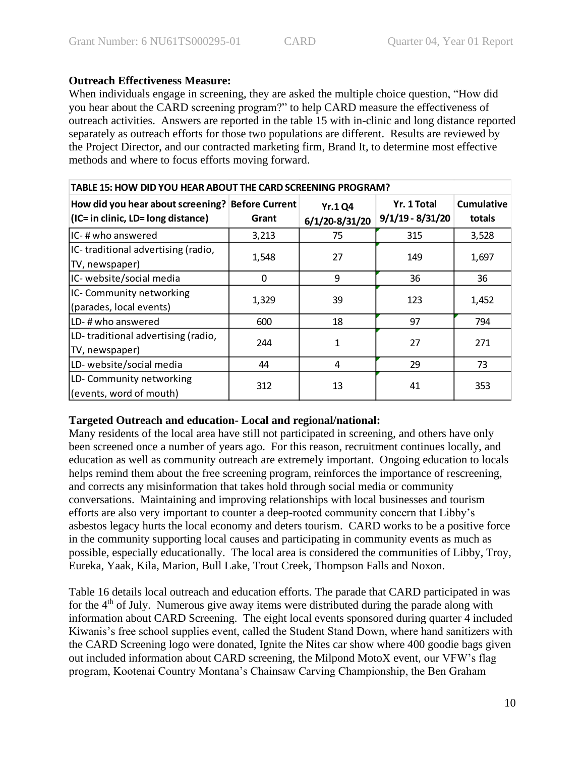### **Outreach Effectiveness Measure:**

When individuals engage in screening, they are asked the multiple choice question, "How did you hear about the CARD screening program?" to help CARD measure the effectiveness of outreach activities. Answers are reported in the table 15 with in-clinic and long distance reported separately as outreach efforts for those two populations are different. Results are reviewed by the Project Director, and our contracted marketing firm, Brand It, to determine most effective methods and where to focus efforts moving forward.

| TABLE 15: HOW DID YOU HEAR ABOUT THE CARD SCREENING PROGRAM?                           |          |                                 |                                   |                      |  |  |
|----------------------------------------------------------------------------------------|----------|---------------------------------|-----------------------------------|----------------------|--|--|
| How did you hear about screening? Before Current<br>(IC= in clinic, LD= long distance) | Grant    | <b>Yr.1Q4</b><br>6/1/20-8/31/20 | Yr. 1 Total<br>$9/1/19 - 8/31/20$ | Cumulative<br>totals |  |  |
| IC-# who answered                                                                      | 3,213    | 75                              | 315                               | 3,528                |  |  |
| IC-traditional advertising (radio,<br>TV, newspaper)                                   | 1,548    | 27                              | 149                               | 1,697                |  |  |
| IC- website/social media                                                               | $\Omega$ | 9                               | 36                                | 36                   |  |  |
| IC- Community networking<br>(parades, local events)                                    | 1,329    | 39                              | 123                               | 1,452                |  |  |
| LD-# who answered                                                                      | 600      | 18                              | 97                                | 794                  |  |  |
| LD-traditional advertising (radio,<br>TV, newspaper)                                   | 244      | 1                               | 27                                | 271                  |  |  |
| LD- website/social media                                                               | 44       | 4                               | 29                                | 73                   |  |  |
| LD-Community networking<br>(events, word of mouth)                                     | 312      | 13                              | 41                                | 353                  |  |  |

# **Targeted Outreach and education- Local and regional/national:**

Many residents of the local area have still not participated in screening, and others have only been screened once a number of years ago. For this reason, recruitment continues locally, and education as well as community outreach are extremely important. Ongoing education to locals helps remind them about the free screening program, reinforces the importance of rescreening, and corrects any misinformation that takes hold through social media or community conversations. Maintaining and improving relationships with local businesses and tourism efforts are also very important to counter a deep-rooted community concern that Libby's asbestos legacy hurts the local economy and deters tourism. CARD works to be a positive force in the community supporting local causes and participating in community events as much as possible, especially educationally. The local area is considered the communities of Libby, Troy, Eureka, Yaak, Kila, Marion, Bull Lake, Trout Creek, Thompson Falls and Noxon.

Table 16 details local outreach and education efforts. The parade that CARD participated in was for the 4<sup>th</sup> of July. Numerous give away items were distributed during the parade along with information about CARD Screening. The eight local events sponsored during quarter 4 included Kiwanis's free school supplies event, called the Student Stand Down, where hand sanitizers with the CARD Screening logo were donated, Ignite the Nites car show where 400 goodie bags given out included information about CARD screening, the Milpond MotoX event, our VFW's flag program, Kootenai Country Montana's Chainsaw Carving Championship, the Ben Graham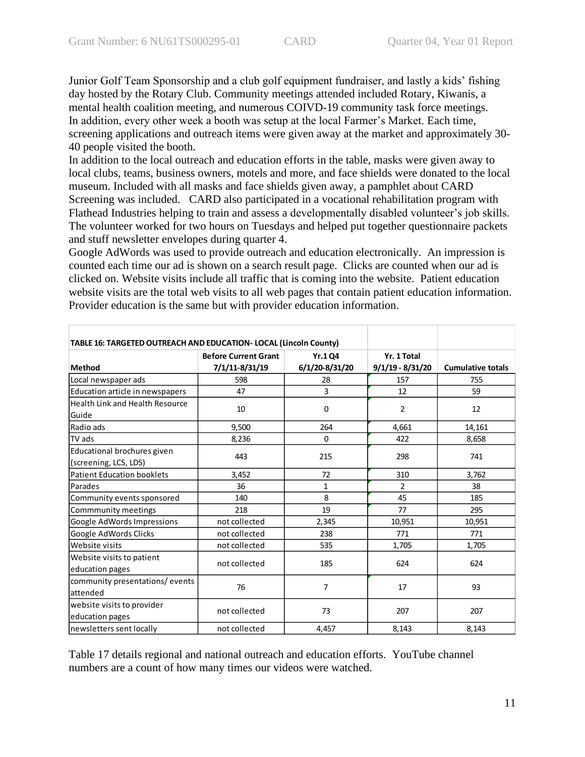Junior Golf Team Sponsorship and a club golf equipment fundraiser, and lastly a kids' fishing day hosted by the Rotary Club. Community meetings attended included Rotary, Kiwanis, a mental health coalition meeting, and numerous COIVD-19 community task force meetings. In addition, every other week a booth was setup at the local Farmer's Market. Each time, screening applications and outreach items were given away at the market and approximately 30- 40 people visited the booth.

In addition to the local outreach and education efforts in the table, masks were given away to local clubs, teams, business owners, motels and more, and face shields were donated to the local museum. Included with all masks and face shields given away, a pamphlet about CARD Screening was included. CARD also participated in a vocational rehabilitation program with Flathead Industries helping to train and assess a developmentally disabled volunteer's job skills. The volunteer worked for two hours on Tuesdays and helped put together questionnaire packets and stuff newsletter envelopes during quarter 4.

Google AdWords was used to provide outreach and education electronically. An impression is counted each time our ad is shown on a search result page. Clicks are counted when our ad is clicked on. Website visits include all traffic that is coming into the website. Patient education website visits are the total web visits to all web pages that contain patient education information. Provider education is the same but with provider education information.

| TABLE 16: TARGETED OUTREACH AND EDUCATION- LOCAL (Lincoln County) |                                               |                                 |                                   |                          |
|-------------------------------------------------------------------|-----------------------------------------------|---------------------------------|-----------------------------------|--------------------------|
| <b>Method</b>                                                     | <b>Before Current Grant</b><br>7/1/11-8/31/19 | <b>Yr.104</b><br>6/1/20-8/31/20 | Yr. 1 Total<br>$9/1/19 - 8/31/20$ | <b>Cumulative totals</b> |
| Local newspaper ads                                               | 598                                           | 28                              | 157                               | 755                      |
| Education article in newspapers                                   | 47                                            | 3                               | 12                                | 59                       |
| <b>Health Link and Health Resource</b><br>Guide                   | 10                                            | 0                               | 2                                 | 12                       |
| Radio ads                                                         | 9,500                                         | 264                             | 4,661                             | 14,161                   |
| TV ads                                                            | 8,236                                         | $\Omega$                        | 422                               | 8,658                    |
| Educational brochures given<br>(screening, LCS, LDS)              | 443                                           | 215                             | 298                               | 741                      |
| <b>Patient Education booklets</b>                                 | 3,452                                         | 72                              | 310                               | 3,762                    |
| Parades                                                           | 36                                            | $\mathbf{1}$                    | 2                                 | 38                       |
| Community events sponsored                                        | 140                                           | 8                               | 45                                | 185                      |
| Commmunity meetings                                               | 218                                           | 19                              | 77                                | 295                      |
| Google AdWords Impressions                                        | not collected                                 | 2,345                           | 10,951                            | 10,951                   |
| Google AdWords Clicks                                             | not collected                                 | 238                             | 771                               | 771                      |
| Website visits                                                    | not collected                                 | 535                             | 1,705                             | 1,705                    |
| Website visits to patient<br>education pages                      | not collected                                 | 185                             | 624                               | 624                      |
| community presentations/events<br>lattended                       | 76                                            | $\overline{7}$                  | 17                                | 93                       |
| website visits to provider<br>education pages                     | not collected                                 | 73                              | 207                               | 207                      |
| newsletters sent locally                                          | not collected                                 | 4,457                           | 8,143                             | 8,143                    |

Table 17 details regional and national outreach and education efforts. YouTube channel numbers are a count of how many times our videos were watched.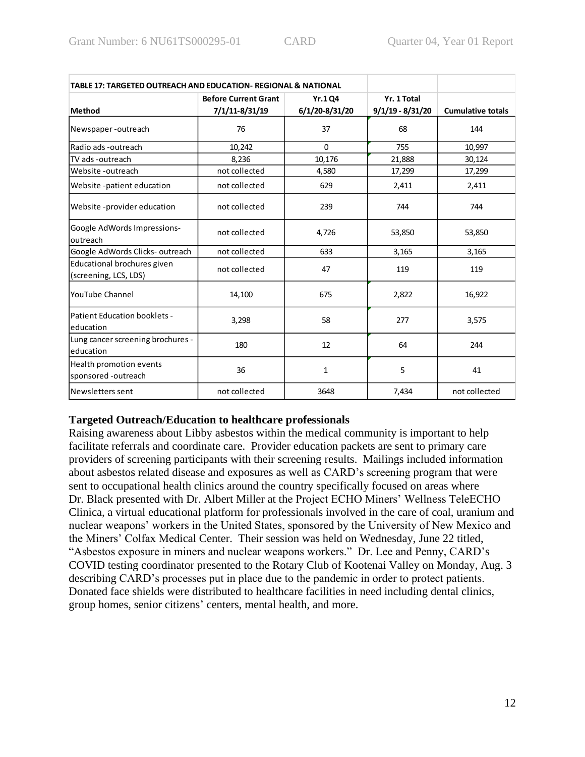| TABLE 17: TARGETED OUTREACH AND EDUCATION- REGIONAL & NATIONAL |                             |                |                    |                          |
|----------------------------------------------------------------|-----------------------------|----------------|--------------------|--------------------------|
|                                                                | <b>Before Current Grant</b> | <b>Yr.1 Q4</b> | Yr. 1 Total        |                          |
| <b>Method</b>                                                  | 7/1/11-8/31/19              | 6/1/20-8/31/20 | $9/1/19 - 8/31/20$ | <b>Cumulative totals</b> |
| Newspaper-outreach                                             | 76                          | 37             | 68                 | 144                      |
| Radio ads -outreach                                            | 10,242                      | $\Omega$       | 755                | 10,997                   |
| TV ads -outreach                                               | 8,236                       | 10,176         | 21,888             | 30,124                   |
| Website -outreach                                              | not collected               | 4,580          | 17,299             | 17,299                   |
| Website -patient education                                     | not collected               | 629            | 2,411              | 2,411                    |
| Website -provider education                                    | not collected               | 239            | 744                | 744                      |
| Google AdWords Impressions-<br>outreach                        | not collected               | 4,726          | 53,850             | 53,850                   |
| Google AdWords Clicks-outreach                                 | not collected               | 633            | 3,165              | 3,165                    |
| Educational brochures given<br>(screening, LCS, LDS)           | not collected               | 47             | 119                | 119                      |
| YouTube Channel                                                | 14,100                      | 675            | 2,822              | 16,922                   |
| <b>Patient Education booklets -</b><br>education               | 3,298                       | 58             | 277                | 3,575                    |
| Lung cancer screening brochures -<br>education                 | 180                         | 12             | 64                 | 244                      |
| Health promotion events<br>sponsored -outreach                 | 36                          | $\mathbf{1}$   | 5                  | 41                       |
| Newsletters sent                                               | not collected               | 3648           | 7,434              | not collected            |

#### **Targeted Outreach/Education to healthcare professionals**

Raising awareness about Libby asbestos within the medical community is important to help facilitate referrals and coordinate care. Provider education packets are sent to primary care providers of screening participants with their screening results. Mailings included information about asbestos related disease and exposures as well as CARD's screening program that were sent to occupational health clinics around the country specifically focused on areas where Dr. Black presented with Dr. Albert Miller at the Project ECHO Miners' Wellness TeleECHO Clinica, a virtual educational platform for professionals involved in the care of coal, uranium and nuclear weapons' workers in the United States, sponsored by the University of New Mexico and the Miners' Colfax Medical Center. Their session was held on Wednesday, June 22 titled, "Asbestos exposure in miners and nuclear weapons workers." Dr. Lee and Penny, CARD's COVID testing coordinator presented to the Rotary Club of Kootenai Valley on Monday, Aug. 3 describing CARD's processes put in place due to the pandemic in order to protect patients. Donated face shields were distributed to healthcare facilities in need including dental clinics, group homes, senior citizens' centers, mental health, and more.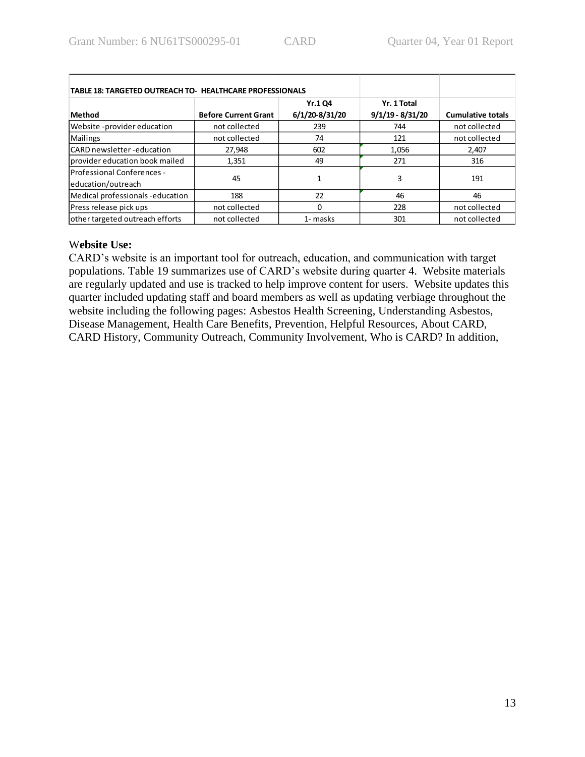| <b>TABLE 18: TARGETED OUTREACH TO- HEALTHCARE PROFESSIONALS</b> |                             |                                  |                                   |                          |
|-----------------------------------------------------------------|-----------------------------|----------------------------------|-----------------------------------|--------------------------|
| <b>Method</b>                                                   | <b>Before Current Grant</b> | <b>Yr.1 Q4</b><br>6/1/20-8/31/20 | Yr. 1 Total<br>$9/1/19 - 8/31/20$ | <b>Cumulative totals</b> |
| Website -provider education                                     | not collected               | 239                              | 744                               | not collected            |
| Mailings                                                        | not collected               | 74                               | 121                               | not collected            |
| CARD newsletter-education                                       | 27,948                      | 602                              | 1,056                             | 2,407                    |
| provider education book mailed                                  | 1,351                       | 49                               | 271                               | 316                      |
| Professional Conferences -<br>education/outreach                | 45                          | 1                                | 3                                 | 191                      |
| Medical professionals - education                               | 188                         | 22                               | 46                                | 46                       |
| Press release pick ups                                          | not collected               | $\Omega$                         | 228                               | not collected            |
| other targeted outreach efforts                                 | not collected               | 1- masks                         | 301                               | not collected            |

### W**ebsite Use:**

CARD's website is an important tool for outreach, education, and communication with target populations. Table 19 summarizes use of CARD's website during quarter 4. Website materials are regularly updated and use is tracked to help improve content for users. Website updates this quarter included updating staff and board members as well as updating verbiage throughout the website including the following pages: Asbestos Health Screening, Understanding Asbestos, Disease Management, Health Care Benefits, Prevention, Helpful Resources, About CARD, CARD History, Community Outreach, Community Involvement, Who is CARD? In addition,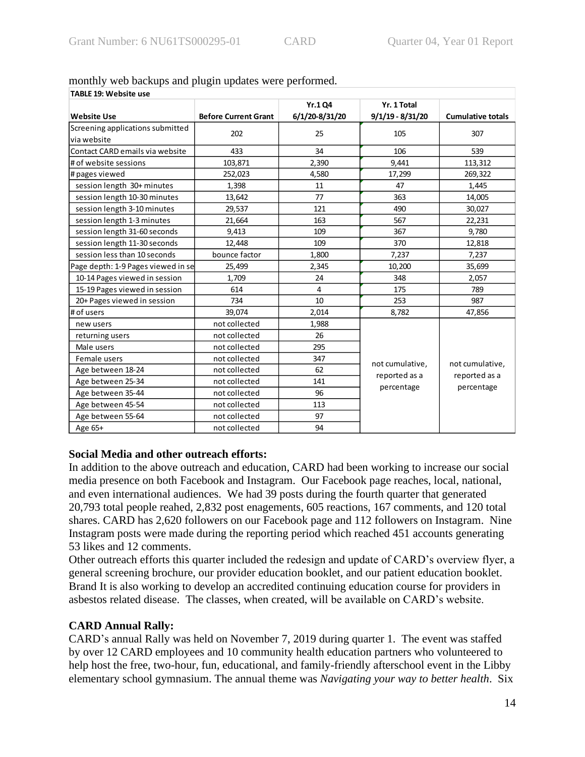| TABLE 19: Website use              |                             |                |                             |                             |  |
|------------------------------------|-----------------------------|----------------|-----------------------------|-----------------------------|--|
|                                    |                             | Yr.1 Q4        | Yr. 1 Total                 |                             |  |
| <b>Website Use</b>                 | <b>Before Current Grant</b> | 6/1/20-8/31/20 | $9/1/19 - 8/31/20$          | <b>Cumulative totals</b>    |  |
| Screening applications submitted   | 202                         | 25             | 105                         | 307                         |  |
| via website                        |                             |                |                             |                             |  |
| Contact CARD emails via website    | 433                         | 34             | 106                         | 539                         |  |
| # of website sessions              | 103,871                     | 2,390          | 9,441                       | 113,312                     |  |
| # pages viewed                     | 252,023                     | 4,580          | 17,299                      | 269,322                     |  |
| session length 30+ minutes         | 1,398                       | 11             | 47                          | 1,445                       |  |
| session length 10-30 minutes       | 13,642                      | 77             | 363                         | 14,005                      |  |
| session length 3-10 minutes        | 29,537                      | 121            | 490                         | 30,027                      |  |
| session length 1-3 minutes         | 21,664                      | 163            | 567                         | 22,231                      |  |
| session length 31-60 seconds       | 9,413                       | 109            | 367                         | 9,780                       |  |
| session length 11-30 seconds       | 12,448                      | 109            | 370                         | 12,818                      |  |
| session less than 10 seconds       | bounce factor               | 1,800          | 7,237                       | 7,237                       |  |
| Page depth: 1-9 Pages viewed in se | 25,499                      | 2,345          | 10,200                      | 35,699                      |  |
| 10-14 Pages viewed in session      | 1,709                       | 24             | 348                         | 2,057                       |  |
| 15-19 Pages viewed in session      | 614                         | 4              | 175                         | 789                         |  |
| 20+ Pages viewed in session        | 734                         | 10             | 253                         | 987                         |  |
| # of users                         | 39,074                      | 2,014          | 8,782                       | 47,856                      |  |
| new users                          | not collected               | 1,988          |                             |                             |  |
| returning users                    | not collected               | 26             |                             |                             |  |
| Male users                         | not collected               | 295            |                             |                             |  |
| Female users                       | not collected               | 347            | not cumulative,             | not cumulative,             |  |
| Age between 18-24                  | not collected               | 62             |                             | reported as a<br>percentage |  |
| Age between 25-34                  | not collected               | 141            | reported as a<br>percentage |                             |  |
| Age between 35-44                  | not collected               | 96             |                             |                             |  |
| Age between 45-54                  | not collected               | 113            |                             |                             |  |
| Age between 55-64                  | not collected               | 97             |                             |                             |  |
| Age 65+                            | not collected               | 94             |                             |                             |  |

# monthly web backups and plugin updates were performed.

# **Social Media and other outreach efforts:**

In addition to the above outreach and education, CARD had been working to increase our social media presence on both Facebook and Instagram. Our Facebook page reaches, local, national, and even international audiences. We had 39 posts during the fourth quarter that generated 20,793 total people reahed, 2,832 post enagements, 605 reactions, 167 comments, and 120 total shares. CARD has 2,620 followers on our Facebook page and 112 followers on Instagram. Nine Instagram posts were made during the reporting period which reached 451 accounts generating 53 likes and 12 comments.

Other outreach efforts this quarter included the redesign and update of CARD's overview flyer, a general screening brochure, our provider education booklet, and our patient education booklet. Brand It is also working to develop an accredited continuing education course for providers in asbestos related disease. The classes, when created, will be available on CARD's website.

# **CARD Annual Rally:**

CARD's annual Rally was held on November 7, 2019 during quarter 1. The event was staffed by over 12 CARD employees and 10 community health education partners who volunteered to help host the free, two-hour, fun, educational, and family-friendly afterschool event in the Libby elementary school gymnasium. The annual theme was *Navigating your way to better health*. Six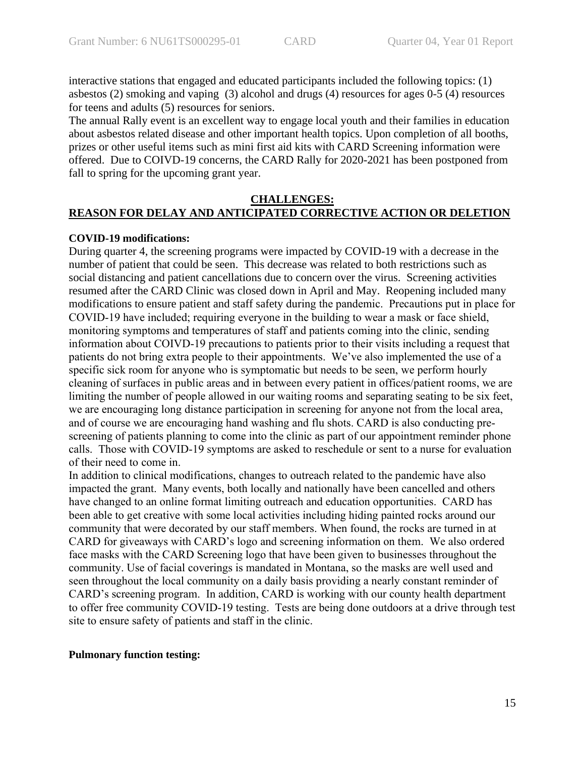interactive stations that engaged and educated participants included the following topics: (1) asbestos (2) smoking and vaping (3) alcohol and drugs (4) resources for ages 0-5 (4) resources for teens and adults (5) resources for seniors.

The annual Rally event is an excellent way to engage local youth and their families in education about asbestos related disease and other important health topics. Upon completion of all booths, prizes or other useful items such as mini first aid kits with CARD Screening information were offered. Due to COIVD-19 concerns, the CARD Rally for 2020-2021 has been postponed from fall to spring for the upcoming grant year.

#### **CHALLENGES: REASON FOR DELAY AND ANTICIPATED CORRECTIVE ACTION OR DELETION**

#### **COVID-19 modifications:**

During quarter 4, the screening programs were impacted by COVID-19 with a decrease in the number of patient that could be seen. This decrease was related to both restrictions such as social distancing and patient cancellations due to concern over the virus. Screening activities resumed after the CARD Clinic was closed down in April and May. Reopening included many modifications to ensure patient and staff safety during the pandemic. Precautions put in place for COVID-19 have included; requiring everyone in the building to wear a mask or face shield, monitoring symptoms and temperatures of staff and patients coming into the clinic, sending information about COIVD-19 precautions to patients prior to their visits including a request that patients do not bring extra people to their appointments. We've also implemented the use of a specific sick room for anyone who is symptomatic but needs to be seen, we perform hourly cleaning of surfaces in public areas and in between every patient in offices/patient rooms, we are limiting the number of people allowed in our waiting rooms and separating seating to be six feet, we are encouraging long distance participation in screening for anyone not from the local area, and of course we are encouraging hand washing and flu shots. CARD is also conducting prescreening of patients planning to come into the clinic as part of our appointment reminder phone calls. Those with COVID-19 symptoms are asked to reschedule or sent to a nurse for evaluation of their need to come in.

In addition to clinical modifications, changes to outreach related to the pandemic have also impacted the grant. Many events, both locally and nationally have been cancelled and others have changed to an online format limiting outreach and education opportunities. CARD has been able to get creative with some local activities including hiding painted rocks around our community that were decorated by our staff members. When found, the rocks are turned in at CARD for giveaways with CARD's logo and screening information on them. We also ordered face masks with the CARD Screening logo that have been given to businesses throughout the community. Use of facial coverings is mandated in Montana, so the masks are well used and seen throughout the local community on a daily basis providing a nearly constant reminder of CARD's screening program. In addition, CARD is working with our county health department to offer free community COVID-19 testing. Tests are being done outdoors at a drive through test site to ensure safety of patients and staff in the clinic.

#### **Pulmonary function testing:**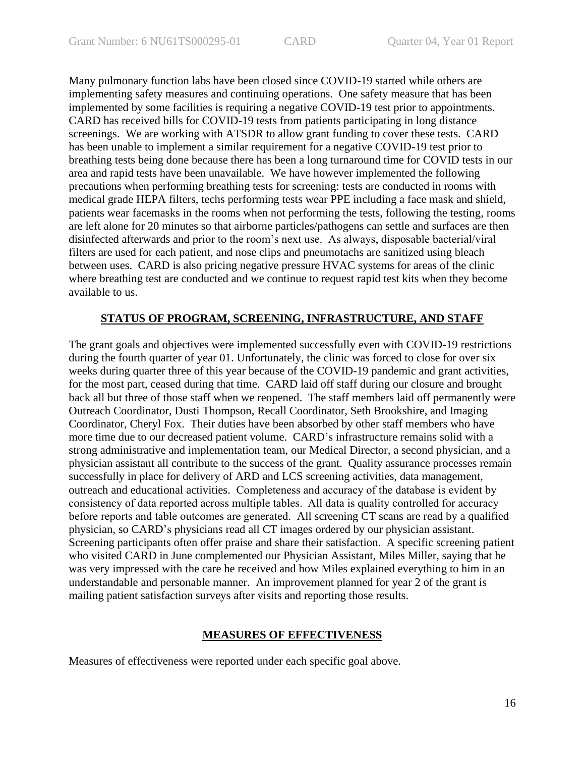Many pulmonary function labs have been closed since COVID-19 started while others are implementing safety measures and continuing operations. One safety measure that has been implemented by some facilities is requiring a negative COVID-19 test prior to appointments. CARD has received bills for COVID-19 tests from patients participating in long distance screenings. We are working with ATSDR to allow grant funding to cover these tests. CARD has been unable to implement a similar requirement for a negative COVID-19 test prior to breathing tests being done because there has been a long turnaround time for COVID tests in our area and rapid tests have been unavailable. We have however implemented the following precautions when performing breathing tests for screening: tests are conducted in rooms with medical grade HEPA filters, techs performing tests wear PPE including a face mask and shield, patients wear facemasks in the rooms when not performing the tests, following the testing, rooms are left alone for 20 minutes so that airborne particles/pathogens can settle and surfaces are then disinfected afterwards and prior to the room's next use. As always, disposable bacterial/viral filters are used for each patient, and nose clips and pneumotachs are sanitized using bleach between uses. CARD is also pricing negative pressure HVAC systems for areas of the clinic where breathing test are conducted and we continue to request rapid test kits when they become available to us.

# **STATUS OF PROGRAM, SCREENING, INFRASTRUCTURE, AND STAFF**

The grant goals and objectives were implemented successfully even with COVID-19 restrictions during the fourth quarter of year 01. Unfortunately, the clinic was forced to close for over six weeks during quarter three of this year because of the COVID-19 pandemic and grant activities, for the most part, ceased during that time. CARD laid off staff during our closure and brought back all but three of those staff when we reopened. The staff members laid off permanently were Outreach Coordinator, Dusti Thompson, Recall Coordinator, Seth Brookshire, and Imaging Coordinator, Cheryl Fox. Their duties have been absorbed by other staff members who have more time due to our decreased patient volume. CARD's infrastructure remains solid with a strong administrative and implementation team, our Medical Director, a second physician, and a physician assistant all contribute to the success of the grant. Quality assurance processes remain successfully in place for delivery of ARD and LCS screening activities, data management, outreach and educational activities. Completeness and accuracy of the database is evident by consistency of data reported across multiple tables. All data is quality controlled for accuracy before reports and table outcomes are generated. All screening CT scans are read by a qualified physician, so CARD's physicians read all CT images ordered by our physician assistant. Screening participants often offer praise and share their satisfaction. A specific screening patient who visited CARD in June complemented our Physician Assistant, Miles Miller, saying that he was very impressed with the care he received and how Miles explained everything to him in an understandable and personable manner. An improvement planned for year 2 of the grant is mailing patient satisfaction surveys after visits and reporting those results.

#### **MEASURES OF EFFECTIVENESS**

Measures of effectiveness were reported under each specific goal above.